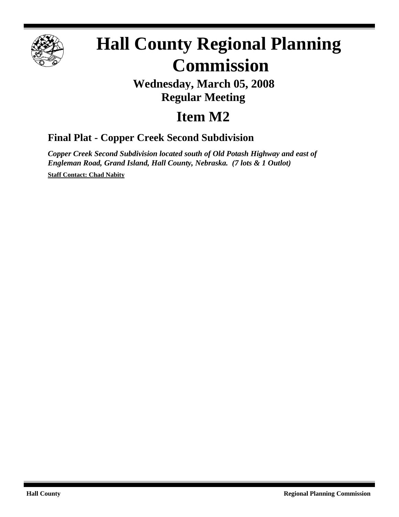

# **Hall County Regional Planning Commission**

## **Wednesday, March 05, 2008 Regular Meeting**

# **Item M2**

### **Final Plat - Copper Creek Second Subdivision**

*Copper Creek Second Subdivision located south of Old Potash Highway and east of Engleman Road, Grand Island, Hall County, Nebraska. (7 lots & 1 Outlot)*

**Staff Contact: Chad Nabity**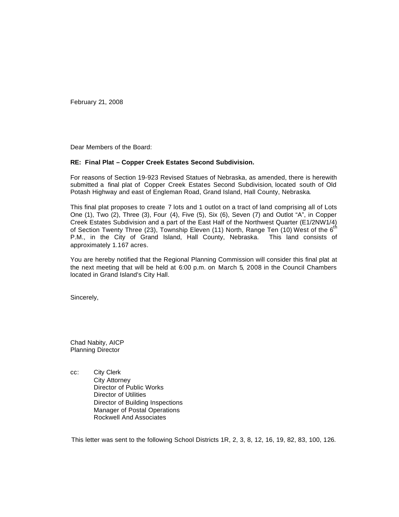February 21, 2008

Dear Members of the Board:

#### **RE: Final Plat – Copper Creek Estates Second Subdivision.**

For reasons of Section 19-923 Revised Statues of Nebraska, as amended, there is herewith submitted a final plat of Copper Creek Estates Second Subdivision, located south of Old Potash Highway and east of Engleman Road, Grand Island, Hall County, Nebraska.

This final plat proposes to create 7 lots and 1 outlot on a tract of land comprising all of Lots One (1), Two (2), Three (3), Four (4), Five (5), Six (6), Seven (7) and Outlot "A", in Copper Creek Estates Subdivision and a part of the East Half of the Northwest Quarter (E1/2NW1/4) of Section Twenty Three (23), Township Eleven (11) North, Range Ten (10) West of the 6<sup>th</sup> P.M., in the City of Grand Island, Hall County, Nebraska. This land consists of approximately 1.167 acres.

You are hereby notified that the Regional Planning Commission will consider this final plat at the next meeting that will be held at 6:00 p.m. on March 5, 2008 in the Council Chambers located in Grand Island's City Hall.

Sincerely,

Chad Nabity, AICP Planning Director

cc: City Clerk City Attorney Director of Public Works Director of Utilities Director of Building Inspections Manager of Postal Operations Rockwell And Associates

This letter was sent to the following School Districts 1R, 2, 3, 8, 12, 16, 19, 82, 83, 100, 126.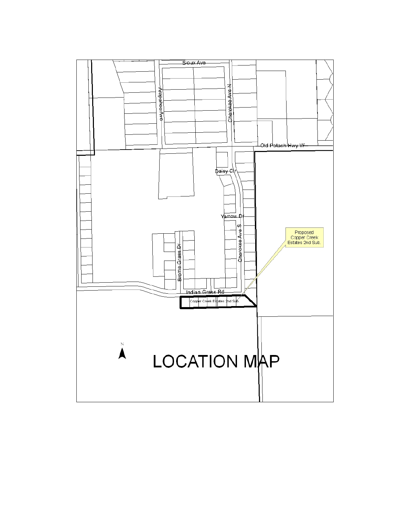